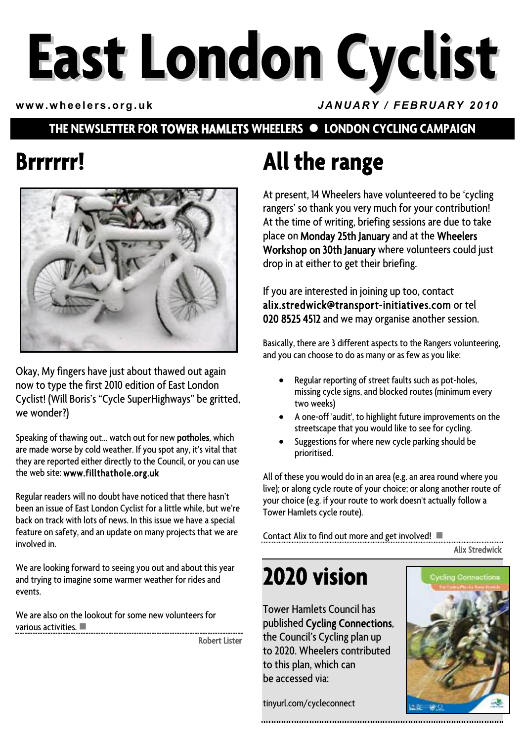# **East London Cyclist**

**www.wheelers.org.uk** *JANUARY / FEBRUARY 2010*

#### **THE NEWSLETTER FOR TOWER HAMLETS WHEELERS • LONDON CYCLING CAMPAIGN**

## **Brrrrrr!**



Okay, My fingers have just about thawed out again now to type the first 2010 edition of East London Cyclist! (Will Boris's "Cycle SuperHighways" be gritted, we wonder?)

Speaking of thawing out… watch out for new potholes, which are made worse by cold weather. If you spot any, it's vital that they are reported either directly to the Council, or you can use the web site: www.fillthathole.org.uk

Regular readers will no doubt have noticed that there hasn't been an issue of East London Cyclist for a little while, but we're back on track with lots of news. In this issue we have a special feature on safety, and an update on many projects that we are involved in.

We are looking forward to seeing you out and about this year and trying to imagine some warmer weather for rides and events.

We are also on the lookout for some new volunteers for various activities.  $\blacksquare$ Robert Lister

# **All the range**

At present, 14 Wheelers have volunteered to be 'cycling rangers' so thank you very much for your contribution! At the time of writing, briefing sessions are due to take place on Monday 25th January and at the Wheelers Workshop on 30th January where volunteers could just drop in at either to get their briefing.

If you are interested in joining up too, contact alix.stredwick@transport-initiatives.com or tel 020 8525 4512 and we may organise another session.

Basically, there are 3 different aspects to the Rangers volunteering, and you can choose to do as many or as few as you like:

- Regular reporting of street faults such as pot-holes, missing cycle signs, and blocked routes (minimum every two weeks)
- A one-off 'audit', to highlight future improvements on the streetscape that you would like to see for cycling.
- Suggestions for where new cycle parking should be prioritised.

All of these you would do in an area (e.g. an area round where you live); or along cycle route of your choice; or along another route of your choice (e.g. if your route to work doesn't actually follow a Tower Hamlets cycle route).

Contact Alix to find out more and get involved!  $\blacksquare$ 

Alix Stredwick

## **2020 vision**

Tower Hamlets Council has published Cycling Connections, the Council's Cycling plan up to 2020. Wheelers contributed to this plan, which can be accessed via:

tinyurl.com/cycleconnect

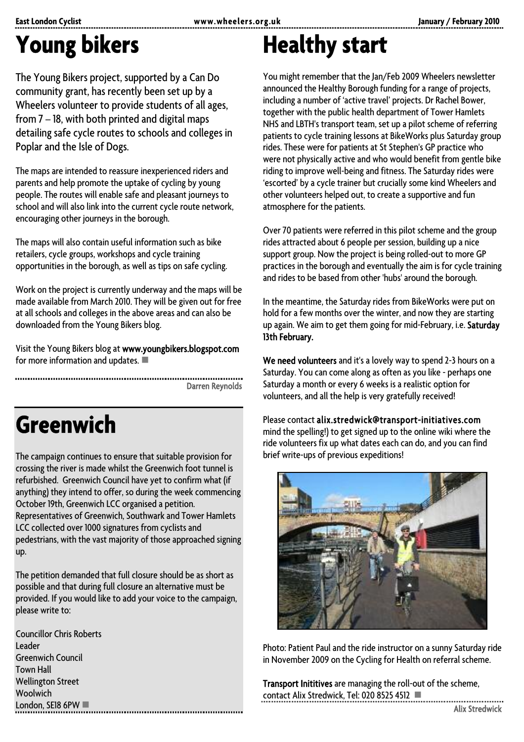# **Young bikers**

The Young Bikers project, supported by a Can Do community grant, has recently been set up by a Wheelers volunteer to provide students of all ages, from 7 – 18, with both printed and digital maps detailing safe cycle routes to schools and colleges in Poplar and the Isle of Dogs.

The maps are intended to reassure inexperienced riders and parents and help promote the uptake of cycling by young people. The routes will enable safe and pleasant journeys to school and will also link into the current cycle route network, encouraging other journeys in the borough.

The maps will also contain useful information such as bike retailers, cycle groups, workshops and cycle training opportunities in the borough, as well as tips on safe cycling.

Work on the project is currently underway and the maps will be made available from March 2010. They will be given out for free at all schools and colleges in the above areas and can also be downloaded from the Young Bikers blog.

Visit the Young Bikers blog at www.youngbikers.blogspot.com for more information and updates.  $\blacksquare$ 

Darren Reynolds

# **Greenwich**

The campaign continues to ensure that suitable provision for crossing the river is made whilst the Greenwich foot tunnel is refurbished. Greenwich Council have yet to confirm what (if anything) they intend to offer, so during the week commencing October 19th, Greenwich LCC organised a petition. Representatives of Greenwich, Southwark and Tower Hamlets LCC collected over 1000 signatures from cyclists and pedestrians, with the vast majority of those approached signing up.

The petition demanded that full closure should be as short as possible and that during full closure an alternative must be provided. If you would like to add your voice to the campaign, please write to:

Councillor Chris Roberts Leader Greenwich Council Town Hall Wellington Street Woolwich London, SE18 6PW  $\blacksquare$ 

# **Healthy start**

You might remember that the Jan/Feb 2009 Wheelers newsletter announced the Healthy Borough funding for a range of projects, including a number of 'active travel' projects. Dr Rachel Bower, together with the public health department of Tower Hamlets NHS and LBTH's transport team, set up a pilot scheme of referring patients to cycle training lessons at BikeWorks plus Saturday group rides. These were for patients at St Stephen's GP practice who were not physically active and who would benefit from gentle bike riding to improve well-being and fitness. The Saturday rides were 'escorted' by a cycle trainer but crucially some kind Wheelers and other volunteers helped out, to create a supportive and fun atmosphere for the patients.

Over 70 patients were referred in this pilot scheme and the group rides attracted about 6 people per session, building up a nice support group. Now the project is being rolled-out to more GP practices in the borough and eventually the aim is for cycle training and rides to be based from other 'hubs' around the borough.

In the meantime, the Saturday rides from BikeWorks were put on hold for a few months over the winter, and now they are starting up again. We aim to get them going for mid-February, i.e. Saturday 13th February.

We need volunteers and it's a lovely way to spend 2-3 hours on a Saturday. You can come along as often as you like - perhaps one Saturday a month or every 6 weeks is a realistic option for volunteers, and all the help is very gratefully received!

Please contact alix.stredwick@transport-initiatives.com mind the spelling!) to get signed up to the online wiki where the ride volunteers fix up what dates each can do, and you can find brief write-ups of previous expeditions!



Photo: Patient Paul and the ride instructor on a sunny Saturday ride in November 2009 on the Cycling for Health on referral scheme.

Transport Inititives are managing the roll-out of the scheme, contact Alix Stredwick, Tel: 020 8525 4512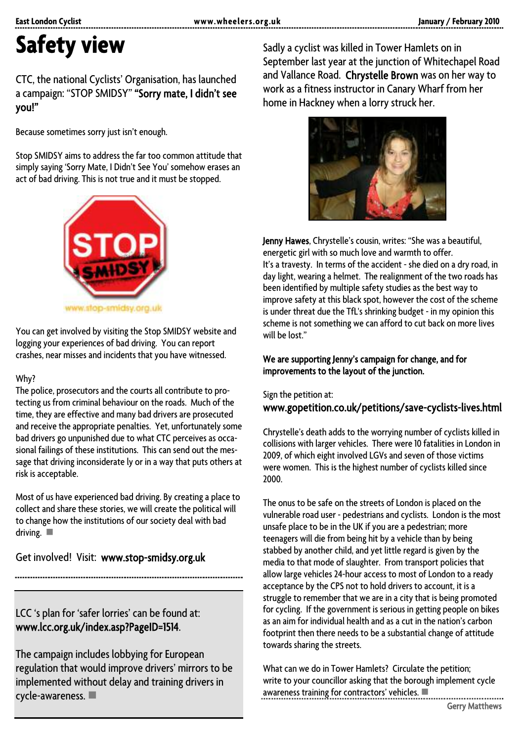# **Safety view**

#### CTC, the national Cyclists' Organisation, has launched a campaign: "STOP SMIDSY" "Sorry mate, I didn't see you!"

Because sometimes sorry just isn't enough.

Stop SMIDSY aims to address the far too common attitude that simply saying 'Sorry Mate, I Didn't See You' somehow erases an act of bad driving. This is not true and it must be stopped.



You can get involved by visiting the Stop SMIDSY website and logging your experiences of bad driving. You can report crashes, near misses and incidents that you have witnessed.

#### Why?

The police, prosecutors and the courts all contribute to protecting us from criminal behaviour on the roads. Much of the time, they are effective and many bad drivers are prosecuted and receive the appropriate penalties. Yet, unfortunately some bad drivers go unpunished due to what CTC perceives as occasional failings of these institutions. This can send out the message that driving inconsiderate ly or in a way that puts others at risk is acceptable.

Most of us have experienced bad driving. By creating a place to collect and share these stories, we will create the political will to change how the institutions of our society deal with bad driving.  $\blacksquare$ 

Get involved! Visit: www.stop-smidsy.org.uk

LCC 's plan for 'safer lorries' can be found at: www.lcc.org.uk/index.asp?PageID=1514.

The campaign includes lobbying for European regulation that would improve drivers' mirrors to be implemented without delay and training drivers in cycle-awareness.

Sadly a cyclist was killed in Tower Hamlets on in September last year at the junction of Whitechapel Road and Vallance Road. Chrystelle Brown was on her way to work as a fitness instructor in Canary Wharf from her home in Hackney when a lorry struck her.



Jenny Hawes, Chrystelle's cousin, writes: "She was a beautiful, energetic girl with so much love and warmth to offer. It's a travesty. In terms of the accident - she died on a dry road, in day light, wearing a helmet. The realignment of the two roads has been identified by multiple safety studies as the best way to improve safety at this black spot, however the cost of the scheme is under threat due the TfL's shrinking budget - in my opinion this scheme is not something we can afford to cut back on more lives will be lost."

#### We are supporting Jenny's campaign for change, and for improvements to the layout of the junction.

Sign the petition at: www.gopetition.co.uk/petitions/save-cyclists-lives.html

Chrystelle's death adds to the worrying number of cyclists killed in collisions with larger vehicles. There were 10 fatalities in London in 2009, of which eight involved LGVs and seven of those victims were women. This is the highest number of cyclists killed since 2000.

The onus to be safe on the streets of London is placed on the vulnerable road user - pedestrians and cyclists. London is the most unsafe place to be in the UK if you are a pedestrian; more teenagers will die from being hit by a vehicle than by being stabbed by another child, and yet little regard is given by the media to that mode of slaughter. From transport policies that allow large vehicles 24-hour access to most of London to a ready acceptance by the CPS not to hold drivers to account, it is a struggle to remember that we are in a city that is being promoted for cycling. If the government is serious in getting people on bikes as an aim for individual health and as a cut in the nation's carbon footprint then there needs to be a substantial change of attitude towards sharing the streets.

What can we do in Tower Hamlets? Circulate the petition; write to your councillor asking that the borough implement cycle  $a$ wareness training for contractors' vehicles.  $\blacksquare$